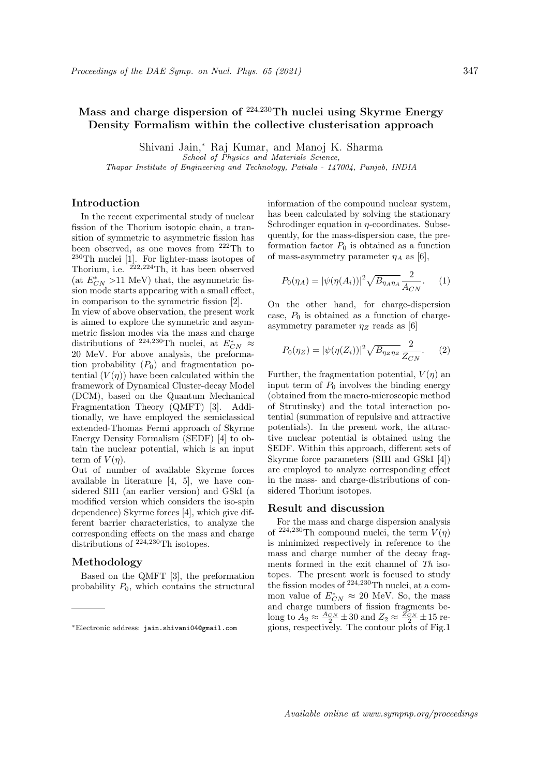# Mass and charge dispersion of  $224,230$ Th nuclei using Skyrme Energy Density Formalism within the collective clusterisation approach

Shivani Jain,<sup>∗</sup> Raj Kumar, and Manoj K. Sharma

School of Physics and Materials Science,

Thapar Institute of Engineering and Technology, Patiala - 147004, Punjab, INDIA

## Introduction

In the recent experimental study of nuclear fission of the Thorium isotopic chain, a transition of symmetric to asymmetric fission has been observed, as one moves from <sup>222</sup>Th to <sup>230</sup>Th nuclei [1]. For lighter-mass isotopes of Thorium, i.e.  $^{222,224}$ Th, it has been observed (at  $E^{\ast}_{CN}$  >11 MeV) that, the asymmetric fission mode starts appearing with a small effect, in comparison to the symmetric fission [2].

In view of above observation, the present work is aimed to explore the symmetric and asymmetric fission modes via the mass and charge distributions of <sup>224,230</sup>Th nuclei, at  $E^*_{CN} \approx$ 20 MeV. For above analysis, the preformation probability  $(P_0)$  and fragmentation potential  $(V(\eta))$  have been calculated within the framework of Dynamical Cluster-decay Model (DCM), based on the Quantum Mechanical Fragmentation Theory (QMFT) [3]. Additionally, we have employed the semiclassical extended-Thomas Fermi approach of Skyrme Energy Density Formalism (SEDF) [4] to obtain the nuclear potential, which is an input term of  $V(\eta)$ .

Out of number of available Skyrme forces available in literature [4, 5], we have considered SIII (an earlier version) and GSkI (a modified version which considers the iso-spin dependence) Skyrme forces [4], which give different barrier characteristics, to analyze the corresponding effects on the mass and charge distributions of <sup>224,230</sup>Th isotopes.

## Methodology

Based on the QMFT [3], the preformation probability  $P_0$ , which contains the structural

information of the compound nuclear system, has been calculated by solving the stationary Schrodinger equation in  $\eta$ -coordinates. Subsequently, for the mass-dispersion case, the preformation factor  $P_0$  is obtained as a function of mass-asymmetry parameter  $\eta_A$  as [6],

$$
P_0(\eta_A) = |\psi(\eta(A_i))|^2 \sqrt{B_{\eta_A \eta_A}} \frac{2}{A_{CN}}.
$$
 (1)

On the other hand, for charge-dispersion case,  $P_0$  is obtained as a function of chargeasymmetry parameter  $\eta_Z$  reads as [6]

$$
P_0(\eta_Z) = |\psi(\eta(Z_i))|^2 \sqrt{B_{\eta_Z \eta_Z}} \frac{2}{Z_{CN}}.
$$
 (2)

Further, the fragmentation potential,  $V(\eta)$  and input term of  $P_0$  involves the binding energy (obtained from the macro-microscopic method of Strutinsky) and the total interaction potential (summation of repulsive and attractive potentials). In the present work, the attractive nuclear potential is obtained using the SEDF. Within this approach, different sets of Skyrme force parameters (SIII and GSkI [4]) are employed to analyze corresponding effect in the mass- and charge-distributions of considered Thorium isotopes.

### Result and discussion

For the mass and charge dispersion analysis of <sup>224,230</sup>Th compound nuclei, the term  $V(\eta)$ is minimized respectively in reference to the mass and charge number of the decay fragments formed in the exit channel of Th isotopes. The present work is focused to study the fission modes of  $224,230$ Th nuclei, at a common value of  $E^*_{CN} \approx 20$  MeV. So, the mass and charge numbers of fission fragments belong to  $A_2 \approx \frac{A_{CN}}{2} \pm 30$  and  $Z_2 \approx \frac{Z_{CN}}{2} \pm 15$  regions, respectively. The contour plots of Fig.1

<sup>∗</sup>Electronic address: jain.shivani04@gmail.com